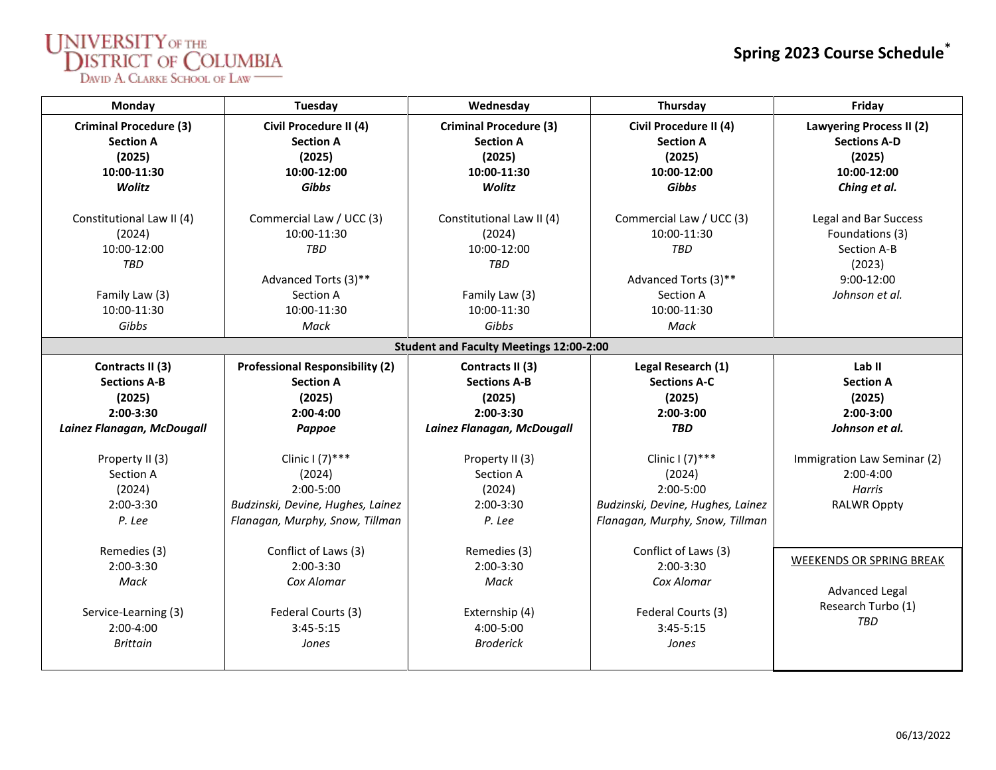## $\underset{\text{DWD A. CLARKE SCHOOL or LAW}}{\text{DISTRICT OF COLUMBIA}}$

| Monday                                                      | Tuesday                                              | Wednesday                                                   | Thursday                                             | Friday                                                           |  |  |  |  |  |  |
|-------------------------------------------------------------|------------------------------------------------------|-------------------------------------------------------------|------------------------------------------------------|------------------------------------------------------------------|--|--|--|--|--|--|
| <b>Criminal Procedure (3)</b><br><b>Section A</b><br>(2025) | Civil Procedure II (4)<br><b>Section A</b><br>(2025) | <b>Criminal Procedure (3)</b><br><b>Section A</b><br>(2025) | Civil Procedure II (4)<br><b>Section A</b><br>(2025) | <b>Lawyering Process II (2)</b><br><b>Sections A-D</b><br>(2025) |  |  |  |  |  |  |
| 10:00-11:30                                                 | 10:00-12:00                                          | 10:00-11:30                                                 | 10:00-12:00                                          | 10:00-12:00                                                      |  |  |  |  |  |  |
| Wolitz                                                      | <b>Gibbs</b>                                         | Wolitz                                                      | Gibbs                                                | Ching et al.                                                     |  |  |  |  |  |  |
| Constitutional Law II (4)                                   | Commercial Law / UCC (3)                             | Constitutional Law II (4)                                   | Commercial Law / UCC (3)                             | Legal and Bar Success                                            |  |  |  |  |  |  |
|                                                             | 10:00-11:30                                          | (2024)                                                      | 10:00-11:30                                          | Foundations (3)                                                  |  |  |  |  |  |  |
| (2024)<br>10:00-12:00                                       | <b>TBD</b>                                           | 10:00-12:00                                                 | TBD                                                  | Section A-B                                                      |  |  |  |  |  |  |
| TBD                                                         |                                                      | <b>TBD</b>                                                  |                                                      |                                                                  |  |  |  |  |  |  |
|                                                             | Advanced Torts (3)**                                 |                                                             | Advanced Torts (3)**                                 | (2023)<br>9:00-12:00                                             |  |  |  |  |  |  |
| Family Law (3)                                              | Section A                                            | Family Law (3)                                              | Section A                                            | Johnson et al.                                                   |  |  |  |  |  |  |
| 10:00-11:30                                                 | 10:00-11:30                                          | 10:00-11:30                                                 | 10:00-11:30                                          |                                                                  |  |  |  |  |  |  |
| Gibbs                                                       | Mack                                                 | Gibbs                                                       | Mack                                                 |                                                                  |  |  |  |  |  |  |
|                                                             |                                                      |                                                             |                                                      |                                                                  |  |  |  |  |  |  |
| <b>Student and Faculty Meetings 12:00-2:00</b>              |                                                      |                                                             |                                                      |                                                                  |  |  |  |  |  |  |
| Contracts II (3)                                            | <b>Professional Responsibility (2)</b>               | Contracts II (3)                                            | Legal Research (1)                                   | Lab <sub>II</sub>                                                |  |  |  |  |  |  |
| <b>Sections A-B</b>                                         | <b>Section A</b>                                     | <b>Sections A-B</b>                                         | <b>Sections A-C</b>                                  | <b>Section A</b>                                                 |  |  |  |  |  |  |
| (2025)                                                      | (2025)                                               | (2025)                                                      | (2025)                                               | (2025)                                                           |  |  |  |  |  |  |
| $2:00-3:30$                                                 | $2:00-4:00$                                          | $2:00-3:30$                                                 | 2:00-3:00                                            | $2:00-3:00$                                                      |  |  |  |  |  |  |
| Lainez Flanagan, McDougall                                  | Pappoe                                               | Lainez Flanagan, McDougall                                  | <b>TBD</b>                                           | Johnson et al.                                                   |  |  |  |  |  |  |
|                                                             |                                                      |                                                             |                                                      |                                                                  |  |  |  |  |  |  |
| Property II (3)                                             | Clinic $(7)$ ***                                     | Property II (3)                                             | Clinic $(7)$ ***                                     | Immigration Law Seminar (2)                                      |  |  |  |  |  |  |
| Section A                                                   | (2024)                                               | Section A                                                   | (2024)                                               | 2:00-4:00                                                        |  |  |  |  |  |  |
| (2024)                                                      | $2:00 - 5:00$                                        | (2024)                                                      | $2:00 - 5:00$                                        | Harris                                                           |  |  |  |  |  |  |
| $2:00-3:30$                                                 | Budzinski, Devine, Hughes, Lainez                    | $2:00-3:30$                                                 | Budzinski, Devine, Hughes, Lainez                    | <b>RALWR Oppty</b>                                               |  |  |  |  |  |  |
| P. Lee                                                      | Flanagan, Murphy, Snow, Tillman                      | P. Lee                                                      | Flanagan, Murphy, Snow, Tillman                      |                                                                  |  |  |  |  |  |  |
| Remedies (3)                                                | Conflict of Laws (3)                                 | Remedies (3)                                                | Conflict of Laws (3)                                 |                                                                  |  |  |  |  |  |  |
| $2:00-3:30$                                                 | 2:00-3:30                                            | 2:00-3:30                                                   | $2:00-3:30$                                          | <b>WEEKENDS OR SPRING BREAK</b>                                  |  |  |  |  |  |  |
| Mack                                                        | Cox Alomar                                           | Mack                                                        | Cox Alomar                                           |                                                                  |  |  |  |  |  |  |
|                                                             |                                                      |                                                             |                                                      | Advanced Legal                                                   |  |  |  |  |  |  |
| Service-Learning (3)                                        | Federal Courts (3)                                   | Externship (4)                                              | Federal Courts (3)                                   | Research Turbo (1)                                               |  |  |  |  |  |  |
| $2:00-4:00$                                                 | $3:45 - 5:15$                                        | 4:00-5:00                                                   | $3:45 - 5:15$                                        | <b>TBD</b>                                                       |  |  |  |  |  |  |
| <b>Brittain</b>                                             | Jones                                                | <b>Broderick</b>                                            | Jones                                                |                                                                  |  |  |  |  |  |  |
|                                                             |                                                      |                                                             |                                                      |                                                                  |  |  |  |  |  |  |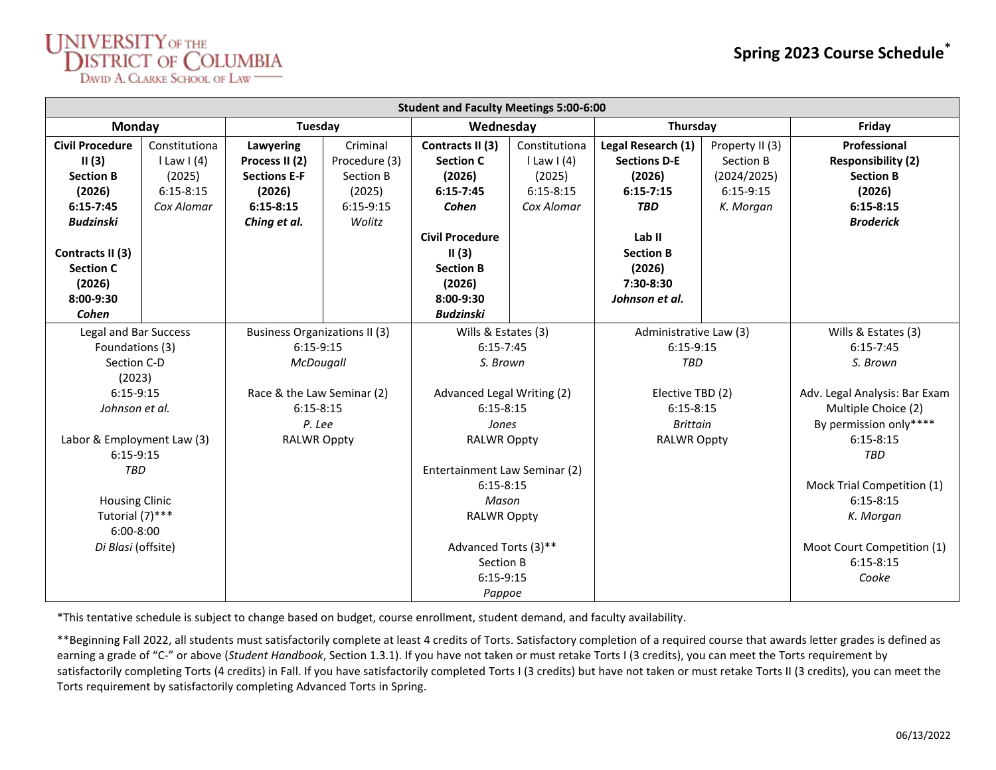## UNIVERSITY OF THE DISTRICT OF COLUMBIA

| <b>Student and Faculty Meetings 5:00-6:00</b>                                                                                                                                                                                                           |                                                                                               |                                                                           |                                                                                                                                                                                                                                                                     |                                                                         |                                                                                                                                                           |                                                                         |                                                                                                                                                                                                                                                                                       |  |  |  |  |
|---------------------------------------------------------------------------------------------------------------------------------------------------------------------------------------------------------------------------------------------------------|-----------------------------------------------------------------------------------------------|---------------------------------------------------------------------------|---------------------------------------------------------------------------------------------------------------------------------------------------------------------------------------------------------------------------------------------------------------------|-------------------------------------------------------------------------|-----------------------------------------------------------------------------------------------------------------------------------------------------------|-------------------------------------------------------------------------|---------------------------------------------------------------------------------------------------------------------------------------------------------------------------------------------------------------------------------------------------------------------------------------|--|--|--|--|
| Monday                                                                                                                                                                                                                                                  | Tuesday                                                                                       |                                                                           | Wednesday                                                                                                                                                                                                                                                           |                                                                         | Thursday                                                                                                                                                  |                                                                         | Friday                                                                                                                                                                                                                                                                                |  |  |  |  |
| <b>Civil Procedure</b><br>Constitutiona<br>II(3)<br>$l$ Law I (4)<br>(2025)<br><b>Section B</b><br>(2026)<br>$6:15 - 8:15$<br>$6:15 - 7:45$<br>Cox Alomar<br><b>Budzinski</b><br>Contracts II (3)<br><b>Section C</b><br>(2026)<br>$8:00-9:30$<br>Cohen | Lawyering<br>Process II (2)<br><b>Sections E-F</b><br>(2026)<br>$6:15 - 8:15$<br>Ching et al. | Criminal<br>Procedure (3)<br>Section B<br>(2025)<br>$6:15-9:15$<br>Wolitz | Contracts II (3)<br><b>Section C</b><br>(2026)<br>$6:15 - 7:45$<br>Cohen<br><b>Civil Procedure</b><br>II(3)<br><b>Section B</b><br>(2026)<br>$8:00-9:30$<br><b>Budzinski</b>                                                                                        | Constitutiona<br>$l$ Law I (4)<br>(2025)<br>$6:15 - 8:15$<br>Cox Alomar | Legal Research (1)<br><b>Sections D-E</b><br>(2026)<br>$6:15 - 7:15$<br><b>TBD</b><br>Lab II<br><b>Section B</b><br>(2026)<br>7:30-8:30<br>Johnson et al. | Property II (3)<br>Section B<br>(2024/2025)<br>$6:15-9:15$<br>K. Morgan | Professional<br><b>Responsibility (2)</b><br><b>Section B</b><br>(2026)<br>$6:15 - 8:15$<br><b>Broderick</b>                                                                                                                                                                          |  |  |  |  |
| Legal and Bar Success<br>Foundations (3)<br>Section C-D<br>(2023)<br>$6:15-9:15$<br>Johnson et al.<br>Labor & Employment Law (3)<br>$6:15-9:15$<br><b>TBD</b><br><b>Housing Clinic</b><br>Tutorial (7)***<br>$6:00 - 8:00$<br>Di Blasi (offsite)        | $6:15-9:15$<br>Race & the Law Seminar (2)<br>$6:15 - 8:15$<br>P. Lee<br><b>RALWR Oppty</b>    | <b>Business Organizations II (3)</b><br>McDougall                         | Wills & Estates (3)<br>$6:15 - 7:45$<br>S. Brown<br>Advanced Legal Writing (2)<br>$6:15 - 8:15$<br>Jones<br><b>RALWR Oppty</b><br>Entertainment Law Seminar (2)<br>$6:15 - 8:15$<br>Mason<br><b>RALWR Oppty</b><br>Advanced Torts (3)**<br>Section B<br>$6:15-9:15$ |                                                                         | Administrative Law (3)<br>$6:15-9:15$<br><b>TBD</b><br>Elective TBD (2)<br>$6:15 - 8:15$<br>Brittain<br><b>RALWR Oppty</b>                                |                                                                         | Wills & Estates (3)<br>$6:15 - 7:45$<br>S. Brown<br>Adv. Legal Analysis: Bar Exam<br>Multiple Choice (2)<br>By permission only****<br>$6:15 - 8:15$<br><b>TBD</b><br>Mock Trial Competition (1)<br>$6:15 - 8:15$<br>K. Morgan<br>Moot Court Competition (1)<br>$6:15 - 8:15$<br>Cooke |  |  |  |  |

\*This tentative schedule is subject to change based on budget, course enrollment, student demand, and faculty availability.

\*\*Beginning Fall 2022, all students must satisfactorily complete at least 4 credits of Torts. Satisfactory completion of a required course that awards letter grades is defined as earning a grade of "C-" or above (*Student Handbook*, Section 1.3.1). If you have not taken or must retake Torts I (3 credits), you can meet the Torts requirement by satisfactorily completing Torts (4 credits) in Fall. If you have satisfactorily completed Torts I (3 credits) but have not taken or must retake Torts II (3 credits), you can meet the Torts requirement by satisfactorily completing Advanced Torts in Spring.